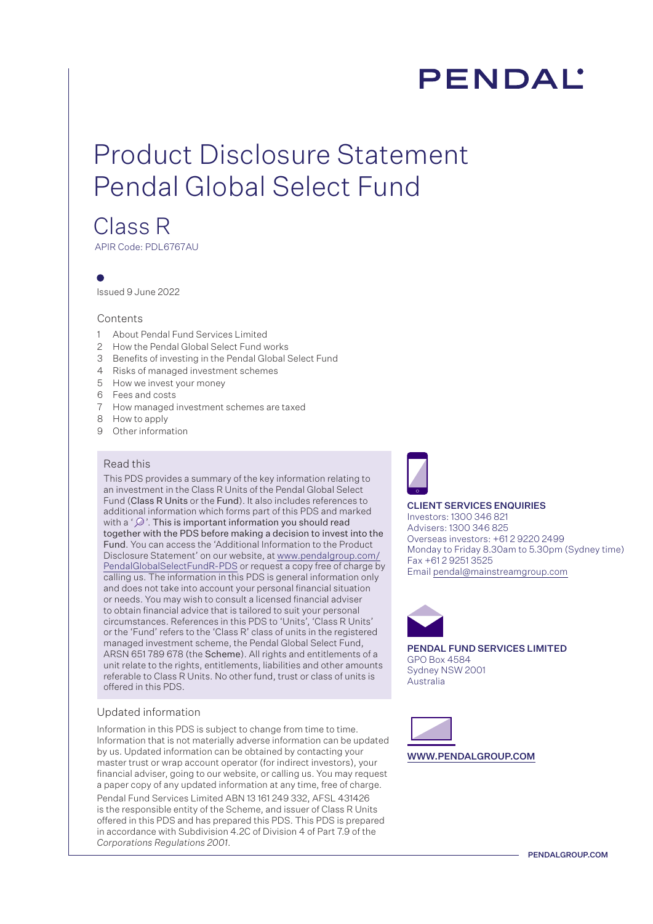# PENDAL'

# Product Disclosure Statement Pendal Global Select Fund

## Class R

APIR Code: PDL6767AU

Issued 9 June 2022

#### Contents

- 1 About Pendal Fund Services Limited
- 2 How the Pendal Global Select Fund works
- 3 Benefits of investing in the Pendal Global Select Fund
- 4 Risks of managed investment schemes
- 5 How we invest your money
- 6 Fees and costs
- 7 How managed investment schemes are taxed
- 8 How to apply
- 9 Other information

#### Read this

This PDS provides a summary of the key information relating to an investment in the Class R Units of the Pendal Global Select Fund (Class R Units or the Fund). It also includes references to additional information which forms part of this PDS and marked with a ' $\mathcal{D}$ '. This is important information you should read together with the PDS before making a decision to invest into the Fund. You can access the 'Additional Information to the Product Disclosure Statement' on our website, at [www.pendalgroup.com/](www.pendalgroup.com/PendalGlobalSelectFundR-PDS) [PendalGlobalSelectFundR-PDS](www.pendalgroup.com/PendalGlobalSelectFundR-PDS) or request a copy free of charge by calling us. The information in this PDS is general information only and does not take into account your personal financial situation or needs. You may wish to consult a licensed financial adviser to obtain financial advice that is tailored to suit your personal circumstances. References in this PDS to 'Units', 'Class R Units' or the 'Fund' refers to the 'Class R' class of units in the registered managed investment scheme, the Pendal Global Select Fund, ARSN 651 789 678 (the Scheme). All rights and entitlements of a unit relate to the rights, entitlements, liabilities and other amounts referable to Class R Units. No other fund, trust or class of units is offered in this PDS.

#### Updated information

Information in this PDS is subject to change from time to time. Information that is not materially adverse information can be updated by us. Updated information can be obtained by contacting your master trust or wrap account operator (for indirect investors), your financial adviser, going to our website, or calling us. You may request a paper copy of any updated information at any time, free of charge.

Pendal Fund Services Limited ABN 13 161 249 332, AFSL 431426 is the responsible entity of the Scheme, and issuer of Class R Units offered in this PDS and has prepared this PDS. This PDS is prepared in accordance with Subdivision 4.2C of Division 4 of Part 7.9 of the *Corporations Regulations 2001*.



#### CLIENT SERVICES ENQUIRIES

Investors: 1300 346 821 Advisers: 1300 346 825 Overseas investors: +61 2 9220 2499 Monday to Friday 8.30am to 5.30pm (Sydney time) Fax +61 2 9251 3525 Email pendal@mainstreamgroup.com



PENDAL FUND SERVICES LIMITED GPO Box 4584 Sydney NSW 2001 Australia

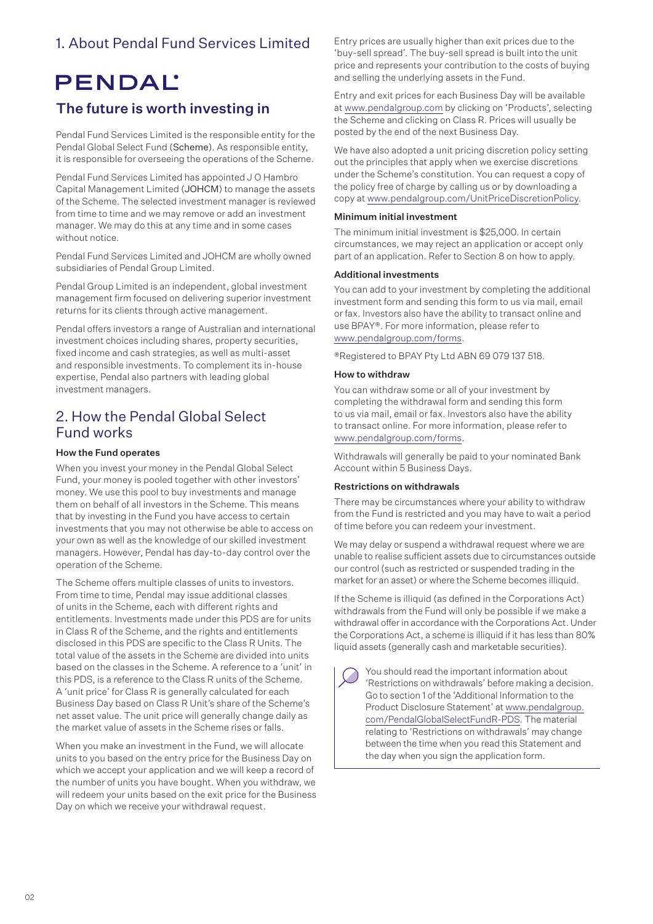## 1. About Pendal Fund Services Limited

## **PENDAL'**

## The future is worth investing in

Pendal Fund Services Limited is the responsible entity for the Pendal Global Select Fund (Scheme). As responsible entity, it is responsible for overseeing the operations of the Scheme.

Pendal Fund Services Limited has appointed J O Hambro Capital Management Limited (JOHCM) to manage the assets of the Scheme. The selected investment manager is reviewed from time to time and we may remove or add an investment manager. We may do this at any time and in some cases without notice.

Pendal Fund Services Limited and JOHCM are wholly owned subsidiaries of Pendal Group Limited.

Pendal Group Limited is an independent, global investment management firm focused on delivering superior investment returns for its clients through active management.

Pendal offers investors a range of Australian and international investment choices including shares, property securities, fixed income and cash strategies, as well as multi-asset and responsible investments. To complement its in-house expertise, Pendal also partners with leading global investment managers.

### 2. How the Pendal Global Select Fund works

#### How the Fund operates

When you invest your money in the Pendal Global Select Fund, your money is pooled together with other investors' money. We use this pool to buy investments and manage them on behalf of all investors in the Scheme. This means that by investing in the Fund you have access to certain investments that you may not otherwise be able to access on your own as well as the knowledge of our skilled investment managers. However, Pendal has day-to-day control over the operation of the Scheme.

The Scheme offers multiple classes of units to investors. From time to time, Pendal may issue additional classes of units in the Scheme, each with different rights and entitlements. Investments made under this PDS are for units in Class R of the Scheme, and the rights and entitlements disclosed in this PDS are specific to the Class R Units. The total value of the assets in the Scheme are divided into units based on the classes in the Scheme. A reference to a 'unit' in this PDS, is a reference to the Class R units of the Scheme. A 'unit price' for Class R is generally calculated for each Business Day based on Class R Unit's share of the Scheme's net asset value. The unit price will generally change daily as the market value of assets in the Scheme rises or falls.

When you make an investment in the Fund, we will allocate units to you based on the entry price for the Business Day on which we accept your application and we will keep a record of the number of units you have bought. When you withdraw, we will redeem your units based on the exit price for the Business Day on which we receive your withdrawal request.

Entry prices are usually higher than exit prices due to the 'buy-sell spread'. The buy-sell spread is built into the unit price and represents your contribution to the costs of buying and selling the underlying assets in the Fund.

Entry and exit prices for each Business Day will be available at www.pendalgroup.com by clicking on 'Products', selecting the Scheme and clicking on Class R. Prices will usually be posted by the end of the next Business Day.

We have also adopted a unit pricing discretion policy setting out the principles that apply when we exercise discretions under the Scheme's constitution. You can request a copy of the policy free of charge by calling us or by downloading a copy at www.pendalgroup.com/UnitPriceDiscretionPolicy.

#### Minimum initial investment

The minimum initial investment is \$25,000. In certain circumstances, we may reject an application or accept only part of an application. Refer to Section 8 on how to apply.

#### Additional investments

You can add to your investment by completing the additional investment form and sending this form to us via mail, email or fax. Investors also have the ability to transact online and use BPAY®. For more information, please refer to www.pendalgroup.com/forms.

®Registered to BPAY Pty Ltd ABN 69 079 137 518.

#### How to withdraw

You can withdraw some or all of your investment by completing the withdrawal form and sending this form to us via mail, email or fax. Investors also have the ability to transact online. For more information, please refer to www.pendalgroup.com/forms.

Withdrawals will generally be paid to your nominated Bank Account within 5 Business Days.

#### Restrictions on withdrawals

There may be circumstances where your ability to withdraw from the Fund is restricted and you may have to wait a period of time before you can redeem your investment.

We may delay or suspend a withdrawal request where we are unable to realise sufficient assets due to circumstances outside our control (such as restricted or suspended trading in the market for an asset) or where the Scheme becomes illiquid.

If the Scheme is illiquid (as defined in the Corporations Act) withdrawals from the Fund will only be possible if we make a withdrawal offer in accordance with the Corporations Act. Under the Corporations Act, a scheme is illiquid if it has less than 80% liquid assets (generally cash and marketable securities).

You should read the important information about 'Restrictions on withdrawals' before making a decision. Go to section 1 of the 'Additional Information to the Product Disclosure Statement' at [www.pendalgroup.](www.pendalgroup.com/PendalGlobalSelectFundR-PDS) [com/PendalGlobalSelectFundR-PDS](www.pendalgroup.com/PendalGlobalSelectFundR-PDS). The material relating to 'Restrictions on withdrawals' may change between the time when you read this Statement and the day when you sign the application form.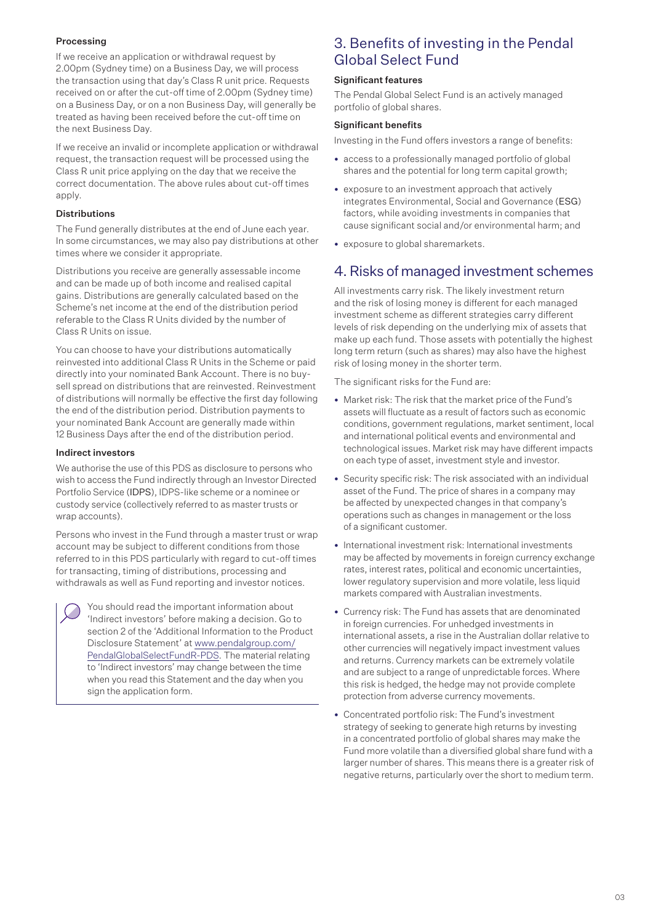#### Processing

If we receive an application or withdrawal request by 2.00pm (Sydney time) on a Business Day, we will process the transaction using that day's Class R unit price. Requests received on or after the cut-off time of 2.00pm (Sydney time) on a Business Day, or on a non Business Day, will generally be treated as having been received before the cut-off time on the next Business Day.

If we receive an invalid or incomplete application or withdrawal request, the transaction request will be processed using the Class R unit price applying on the day that we receive the correct documentation. The above rules about cut-off times apply.

#### Distributions

The Fund generally distributes at the end of June each year. In some circumstances, we may also pay distributions at other times where we consider it appropriate.

Distributions you receive are generally assessable income and can be made up of both income and realised capital gains. Distributions are generally calculated based on the Scheme's net income at the end of the distribution period referable to the Class R Units divided by the number of Class R Units on issue.

You can choose to have your distributions automatically reinvested into additional Class R Units in the Scheme or paid directly into your nominated Bank Account. There is no buysell spread on distributions that are reinvested. Reinvestment of distributions will normally be effective the first day following the end of the distribution period. Distribution payments to your nominated Bank Account are generally made within 12 Business Days after the end of the distribution period.

#### Indirect investors

We authorise the use of this PDS as disclosure to persons who wish to access the Fund indirectly through an Investor Directed Portfolio Service (IDPS), IDPS-like scheme or a nominee or custody service (collectively referred to as master trusts or wrap accounts).

Persons who invest in the Fund through a master trust or wrap account may be subject to different conditions from those referred to in this PDS particularly with regard to cut-off times for transacting, timing of distributions, processing and withdrawals as well as Fund reporting and investor notices.

You should read the important information about 'Indirect investors' before making a decision. Go to section 2 of the 'Additional Information to the Product Disclosure Statement' at [www.pendalgroup.com/](www.pendalgroup.com/PendalGlobalSelectFundR-PDS) [PendalGlobalSelectFundR-PDS.](www.pendalgroup.com/PendalGlobalSelectFundR-PDS) The material relating to 'Indirect investors' may change between the time when you read this Statement and the day when you sign the application form.

## 3. Benefits of investing in the Pendal Global Select Fund

#### Significant features

The Pendal Global Select Fund is an actively managed portfolio of global shares.

#### Significant benefits

Investing in the Fund offers investors a range of benefits:

- access to a professionally managed portfolio of global shares and the potential for long term capital growth;
- exposure to an investment approach that actively integrates Environmental, Social and Governance (ESG) factors, while avoiding investments in companies that cause significant social and/or environmental harm; and
- exposure to global sharemarkets.

## 4. Risks of managed investment schemes

All investments carry risk. The likely investment return and the risk of losing money is different for each managed investment scheme as different strategies carry different levels of risk depending on the underlying mix of assets that make up each fund. Those assets with potentially the highest long term return (such as shares) may also have the highest risk of losing money in the shorter term.

The significant risks for the Fund are:

- Market risk: The risk that the market price of the Fund's assets will fluctuate as a result of factors such as economic conditions, government regulations, market sentiment, local and international political events and environmental and technological issues. Market risk may have different impacts on each type of asset, investment style and investor.
- Security specific risk: The risk associated with an individual asset of the Fund. The price of shares in a company may be affected by unexpected changes in that company's operations such as changes in management or the loss of a significant customer.
- International investment risk: International investments may be affected by movements in foreign currency exchange rates, interest rates, political and economic uncertainties, lower regulatory supervision and more volatile, less liquid markets compared with Australian investments.
- Currency risk: The Fund has assets that are denominated in foreign currencies. For unhedged investments in international assets, a rise in the Australian dollar relative to other currencies will negatively impact investment values and returns. Currency markets can be extremely volatile and are subject to a range of unpredictable forces. Where this risk is hedged, the hedge may not provide complete protection from adverse currency movements.
- Concentrated portfolio risk: The Fund's investment strategy of seeking to generate high returns by investing in a concentrated portfolio of global shares may make the Fund more volatile than a diversified global share fund with a larger number of shares. This means there is a greater risk of negative returns, particularly over the short to medium term.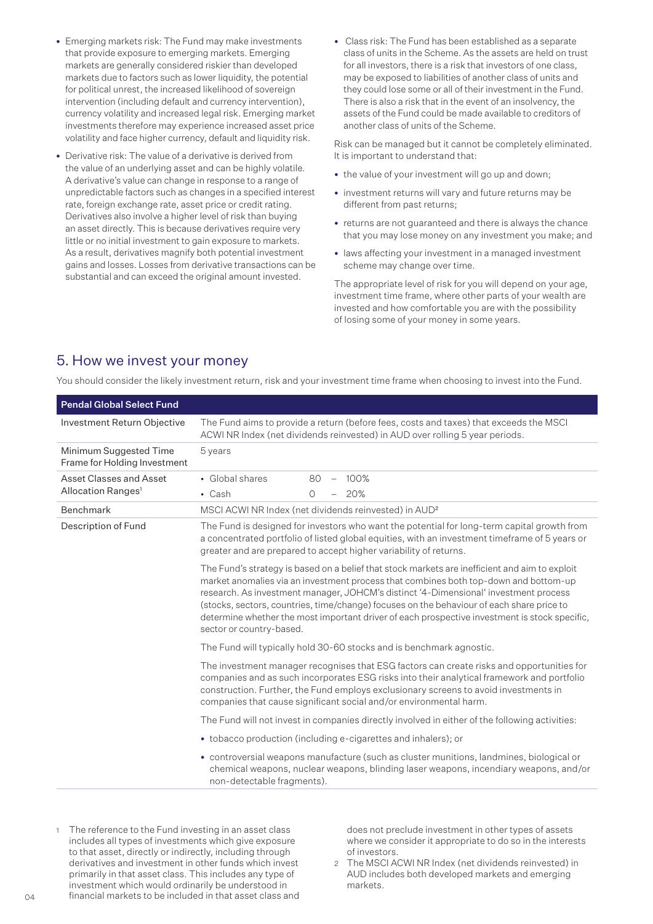- Emerging markets risk: The Fund may make investments that provide exposure to emerging markets. Emerging markets are generally considered riskier than developed markets due to factors such as lower liquidity, the potential for political unrest, the increased likelihood of sovereign intervention (including default and currency intervention), currency volatility and increased legal risk. Emerging market investments therefore may experience increased asset price volatility and face higher currency, default and liquidity risk.
- Derivative risk: The value of a derivative is derived from the value of an underlying asset and can be highly volatile. A derivative's value can change in response to a range of unpredictable factors such as changes in a specified interest rate, foreign exchange rate, asset price or credit rating. Derivatives also involve a higher level of risk than buying an asset directly. This is because derivatives require very little or no initial investment to gain exposure to markets. As a result, derivatives magnify both potential investment gains and losses. Losses from derivative transactions can be substantial and can exceed the original amount invested.
- Class risk: The Fund has been established as a separate class of units in the Scheme. As the assets are held on trust for all investors, there is a risk that investors of one class, may be exposed to liabilities of another class of units and they could lose some or all of their investment in the Fund. There is also a risk that in the event of an insolvency, the assets of the Fund could be made available to creditors of another class of units of the Scheme.

Risk can be managed but it cannot be completely eliminated. It is important to understand that:

- the value of your investment will go up and down;
- investment returns will vary and future returns may be different from past returns;
- returns are not guaranteed and there is always the chance that you may lose money on any investment you make; and
- laws affecting your investment in a managed investment scheme may change over time.

The appropriate level of risk for you will depend on your age, investment time frame, where other parts of your wealth are invested and how comfortable you are with the possibility of losing some of your money in some years.

### 5. How we invest your money

You should consider the likely investment return, risk and your investment time frame when choosing to invest into the Fund.

| <b>Pendal Global Select Fund</b>                       |                                                                                                                                                                                                                                                                                                                                                                                                                                                                                                          |  |  |
|--------------------------------------------------------|----------------------------------------------------------------------------------------------------------------------------------------------------------------------------------------------------------------------------------------------------------------------------------------------------------------------------------------------------------------------------------------------------------------------------------------------------------------------------------------------------------|--|--|
| Investment Return Objective                            | The Fund aims to provide a return (before fees, costs and taxes) that exceeds the MSCI<br>ACWI NR Index (net dividends reinvested) in AUD over rolling 5 year periods.                                                                                                                                                                                                                                                                                                                                   |  |  |
| Minimum Suggested Time<br>Frame for Holding Investment | 5 years                                                                                                                                                                                                                                                                                                                                                                                                                                                                                                  |  |  |
| Asset Classes and Asset                                | • Global shares<br>100%<br>80<br>$\overline{\phantom{m}}$                                                                                                                                                                                                                                                                                                                                                                                                                                                |  |  |
| Allocation Ranges <sup>1</sup>                         | 20%<br>$\cdot$ Cash<br>$\Omega$                                                                                                                                                                                                                                                                                                                                                                                                                                                                          |  |  |
| Benchmark                                              | MSCI ACWI NR Index (net dividends reinvested) in AUD <sup>2</sup>                                                                                                                                                                                                                                                                                                                                                                                                                                        |  |  |
| Description of Fund                                    | The Fund is designed for investors who want the potential for long-term capital growth from<br>a concentrated portfolio of listed global equities, with an investment timeframe of 5 years or<br>greater and are prepared to accept higher variability of returns.                                                                                                                                                                                                                                       |  |  |
|                                                        | The Fund's strategy is based on a belief that stock markets are inefficient and aim to exploit<br>market anomalies via an investment process that combines both top-down and bottom-up<br>research. As investment manager, JOHCM's distinct '4-Dimensional' investment process<br>(stocks, sectors, countries, time/change) focuses on the behaviour of each share price to<br>determine whether the most important driver of each prospective investment is stock specific,<br>sector or country-based. |  |  |
|                                                        | The Fund will typically hold 30-60 stocks and is benchmark agnostic.                                                                                                                                                                                                                                                                                                                                                                                                                                     |  |  |
|                                                        | The investment manager recognises that ESG factors can create risks and opportunities for<br>companies and as such incorporates ESG risks into their analytical framework and portfolio<br>construction. Further, the Fund employs exclusionary screens to avoid investments in<br>companies that cause significant social and/or environmental harm.                                                                                                                                                    |  |  |
|                                                        | The Fund will not invest in companies directly involved in either of the following activities:                                                                                                                                                                                                                                                                                                                                                                                                           |  |  |
|                                                        | • tobacco production (including e-cigarettes and inhalers); or                                                                                                                                                                                                                                                                                                                                                                                                                                           |  |  |
|                                                        | • controversial weapons manufacture (such as cluster munitions, landmines, biological or<br>chemical weapons, nuclear weapons, blinding laser weapons, incendiary weapons, and/or<br>non-detectable fragments).                                                                                                                                                                                                                                                                                          |  |  |

1 The reference to the Fund investing in an asset class includes all types of investments which give exposure to that asset, directly or indirectly, including through derivatives and investment in other funds which invest primarily in that asset class. This includes any type of investment which would ordinarily be understood in financial markets to be included in that asset class and does not preclude investment in other types of assets where we consider it appropriate to do so in the interests of investors.

2 The MSCI ACWI NR Index (net dividends reinvested) in AUD includes both developed markets and emerging markets.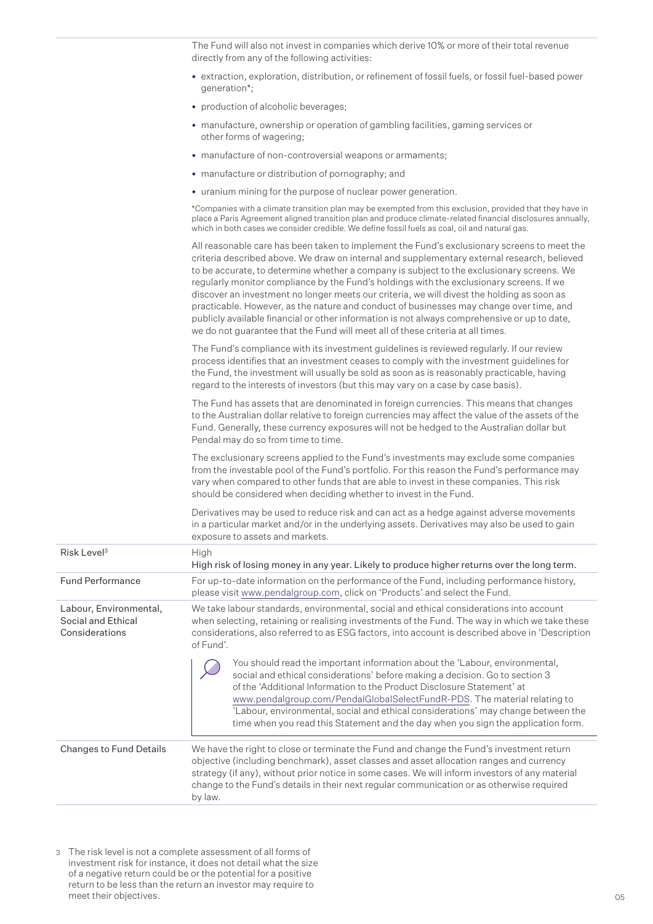The Fund will also not invest in companies which derive 10% or more of their total revenue directly from any of the following activities:

- extraction, exploration, distribution, or refinement of fossil fuels, or fossil fuel-based power generation\*;
- production of alcoholic beverages;
- manufacture, ownership or operation of gambling facilities, gaming services or other forms of wagering;
- manufacture of non-controversial weapons or armaments;
- manufacture or distribution of pornography; and
- uranium mining for the purpose of nuclear power generation.

\*Companies with a climate transition plan may be exempted from this exclusion, provided that they have in place a Paris Agreement aligned transition plan and produce climate-related financial disclosures annually, which in both cases we consider credible. We define fossil fuels as coal, oil and natural gas.

|                                                                | All reasonable care has been taken to implement the Fund's exclusionary screens to meet the<br>criteria described above. We draw on internal and supplementary external research, believed<br>to be accurate, to determine whether a company is subject to the exclusionary screens. We<br>regularly monitor compliance by the Fund's holdings with the exclusionary screens. If we<br>discover an investment no longer meets our criteria, we will divest the holding as soon as<br>practicable. However, as the nature and conduct of businesses may change over time, and<br>publicly available financial or other information is not always comprehensive or up to date,<br>we do not guarantee that the Fund will meet all of these criteria at all times. |  |  |  |
|----------------------------------------------------------------|-----------------------------------------------------------------------------------------------------------------------------------------------------------------------------------------------------------------------------------------------------------------------------------------------------------------------------------------------------------------------------------------------------------------------------------------------------------------------------------------------------------------------------------------------------------------------------------------------------------------------------------------------------------------------------------------------------------------------------------------------------------------|--|--|--|
|                                                                | The Fund's compliance with its investment guidelines is reviewed regularly. If our review<br>process identifies that an investment ceases to comply with the investment guidelines for<br>the Fund, the investment will usually be sold as soon as is reasonably practicable, having<br>regard to the interests of investors (but this may vary on a case by case basis).                                                                                                                                                                                                                                                                                                                                                                                       |  |  |  |
|                                                                | The Fund has assets that are denominated in foreign currencies. This means that changes<br>to the Australian dollar relative to foreign currencies may affect the value of the assets of the<br>Fund. Generally, these currency exposures will not be hedged to the Australian dollar but<br>Pendal may do so from time to time.                                                                                                                                                                                                                                                                                                                                                                                                                                |  |  |  |
|                                                                | The exclusionary screens applied to the Fund's investments may exclude some companies<br>from the investable pool of the Fund's portfolio. For this reason the Fund's performance may<br>vary when compared to other funds that are able to invest in these companies. This risk<br>should be considered when deciding whether to invest in the Fund.                                                                                                                                                                                                                                                                                                                                                                                                           |  |  |  |
|                                                                | Derivatives may be used to reduce risk and can act as a hedge against adverse movements<br>in a particular market and/or in the underlying assets. Derivatives may also be used to gain<br>exposure to assets and markets.                                                                                                                                                                                                                                                                                                                                                                                                                                                                                                                                      |  |  |  |
| Risk Level <sup>3</sup>                                        | High<br>High risk of losing money in any year. Likely to produce higher returns over the long term.                                                                                                                                                                                                                                                                                                                                                                                                                                                                                                                                                                                                                                                             |  |  |  |
| <b>Fund Performance</b>                                        | For up-to-date information on the performance of the Fund, including performance history,<br>please visit www.pendalgroup.com, click on 'Products' and select the Fund.                                                                                                                                                                                                                                                                                                                                                                                                                                                                                                                                                                                         |  |  |  |
| Labour, Environmental,<br>Social and Ethical<br>Considerations | We take labour standards, environmental, social and ethical considerations into account<br>when selecting, retaining or realising investments of the Fund. The way in which we take these<br>considerations, also referred to as ESG factors, into account is described above in 'Description<br>of Fund'.                                                                                                                                                                                                                                                                                                                                                                                                                                                      |  |  |  |
|                                                                | You should read the important information about the 'Labour, environmental,<br>social and ethical considerations' before making a decision. Go to section 3<br>of the 'Additional Information to the Product Disclosure Statement' at<br>www.pendalgroup.com/PendalGlobalSelectFundR-PDS. The material relating to<br>'Labour, environmental, social and ethical considerations' may change between the<br>time when you read this Statement and the day when you sign the application form.                                                                                                                                                                                                                                                                    |  |  |  |
| Changes to Fund Details                                        | We have the right to close or terminate the Fund and change the Fund's investment return<br>objective (including benchmark), asset classes and asset allocation ranges and currency<br>strategy (if any), without prior notice in some cases. We will inform investors of any material<br>change to the Fund's details in their next regular communication or as otherwise required<br>by law.                                                                                                                                                                                                                                                                                                                                                                  |  |  |  |

3 The risk level is not a complete assessment of all forms of investment risk for instance, it does not detail what the size of a negative return could be or the potential for a positive return to be less than the return an investor may require to meet their objectives.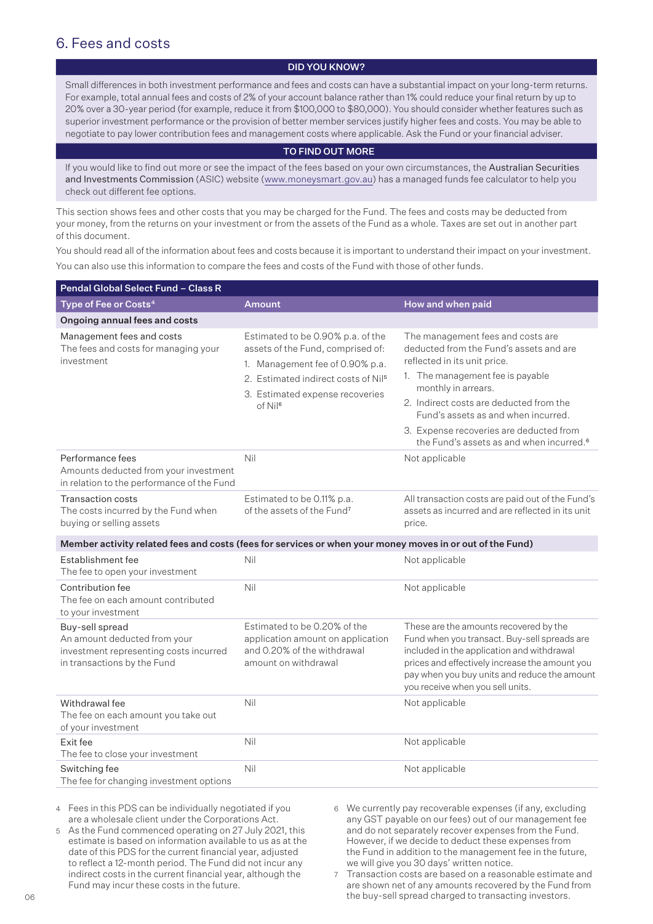## 6. Fees and costs

#### DID YOU KNOW?

Small differences in both investment performance and fees and costs can have a substantial impact on your long-term returns. For example, total annual fees and costs of 2% of your account balance rather than 1% could reduce your final return by up to 20% over a 30-year period (for example, reduce it from \$100,000 to \$80,000). You should consider whether features such as superior investment performance or the provision of better member services justify higher fees and costs. You may be able to negotiate to pay lower contribution fees and management costs where applicable. Ask the Fund or your financial adviser.

#### TO FIND OUT MORE

If you would like to find out more or see the impact of the fees based on your own circumstances, the Australian Securities and Investments Commission (ASIC) website (www.moneysmart.gov.au) has a managed funds fee calculator to help you check out different fee options.

This section shows fees and other costs that you may be charged for the Fund. The fees and costs may be deducted from your money, from the returns on your investment or from the assets of the Fund as a whole. Taxes are set out in another part of this document.

You should read all of the information about fees and costs because it is important to understand their impact on your investment. You can also use this information to compare the fees and costs of the Fund with those of other funds.

| <b>Pendal Global Select Fund - Class R</b>                                                                               |                                                                                                                                                                                                                 |                                                                                                                                                                                                                                                                                                                                                              |
|--------------------------------------------------------------------------------------------------------------------------|-----------------------------------------------------------------------------------------------------------------------------------------------------------------------------------------------------------------|--------------------------------------------------------------------------------------------------------------------------------------------------------------------------------------------------------------------------------------------------------------------------------------------------------------------------------------------------------------|
| Type of Fee or Costs <sup>4</sup>                                                                                        | <b>Amount</b>                                                                                                                                                                                                   | How and when paid                                                                                                                                                                                                                                                                                                                                            |
| Ongoing annual fees and costs                                                                                            |                                                                                                                                                                                                                 |                                                                                                                                                                                                                                                                                                                                                              |
| Management fees and costs<br>The fees and costs for managing your<br>investment                                          | Estimated to be 0.90% p.a. of the<br>assets of the Fund, comprised of:<br>1. Management fee of 0.90% p.a.<br>2. Estimated indirect costs of Nil <sup>5</sup><br>3. Estimated expense recoveries<br>$of$ Nil $6$ | The management fees and costs are<br>deducted from the Fund's assets and are<br>reflected in its unit price.<br>1. The management fee is payable<br>monthly in arrears.<br>2. Indirect costs are deducted from the<br>Fund's assets as and when incurred.<br>3. Expense recoveries are deducted from<br>the Fund's assets as and when incurred. <sup>6</sup> |
| Performance fees<br>Amounts deducted from your investment<br>in relation to the performance of the Fund                  | Nil                                                                                                                                                                                                             | Not applicable                                                                                                                                                                                                                                                                                                                                               |
| Transaction costs<br>The costs incurred by the Fund when<br>buying or selling assets                                     | Estimated to be 0.11% p.a.<br>of the assets of the Fund <sup>7</sup>                                                                                                                                            | All transaction costs are paid out of the Fund's<br>assets as incurred and are reflected in its unit<br>price.                                                                                                                                                                                                                                               |
| Member activity related fees and costs (fees for services or when your money moves in or out of the Fund)                |                                                                                                                                                                                                                 |                                                                                                                                                                                                                                                                                                                                                              |
| Establishment fee<br>The fee to open your investment                                                                     | Nil                                                                                                                                                                                                             | Not applicable                                                                                                                                                                                                                                                                                                                                               |
| Contribution fee<br>The fee on each amount contributed<br>to your investment                                             | Nil                                                                                                                                                                                                             | Not applicable                                                                                                                                                                                                                                                                                                                                               |
| Buy-sell spread<br>An amount deducted from your<br>investment representing costs incurred<br>in transactions by the Fund | Estimated to be 0.20% of the<br>application amount on application<br>and 0.20% of the withdrawal<br>amount on withdrawal                                                                                        | These are the amounts recovered by the<br>Fund when you transact. Buy-sell spreads are<br>included in the application and withdrawal<br>prices and effectively increase the amount you<br>pay when you buy units and reduce the amount<br>you receive when you sell units.                                                                                   |
| Withdrawal fee<br>The fee on each amount you take out<br>of your investment                                              | Nil                                                                                                                                                                                                             | Not applicable                                                                                                                                                                                                                                                                                                                                               |
| Exit fee<br>The fee to close your investment                                                                             | Nil                                                                                                                                                                                                             | Not applicable                                                                                                                                                                                                                                                                                                                                               |
| Switching fee<br>The fee for changing investment options                                                                 | Nil                                                                                                                                                                                                             | Not applicable                                                                                                                                                                                                                                                                                                                                               |

4 Fees in this PDS can be individually negotiated if you are a wholesale client under the Corporations Act.

- 5 As the Fund commenced operating on 27 July 2021, this estimate is based on information available to us as at the date of this PDS for the current financial year, adjusted to reflect a 12-month period. The Fund did not incur any indirect costs in the current financial year, although the Fund may incur these costs in the future.
- 6 We currently pay recoverable expenses (if any, excluding any GST payable on our fees) out of our management fee and do not separately recover expenses from the Fund. However, if we decide to deduct these expenses from the Fund in addition to the management fee in the future, we will give you 30 days' written notice.
- 7 Transaction costs are based on a reasonable estimate and are shown net of any amounts recovered by the Fund from the buy-sell spread charged to transacting investors.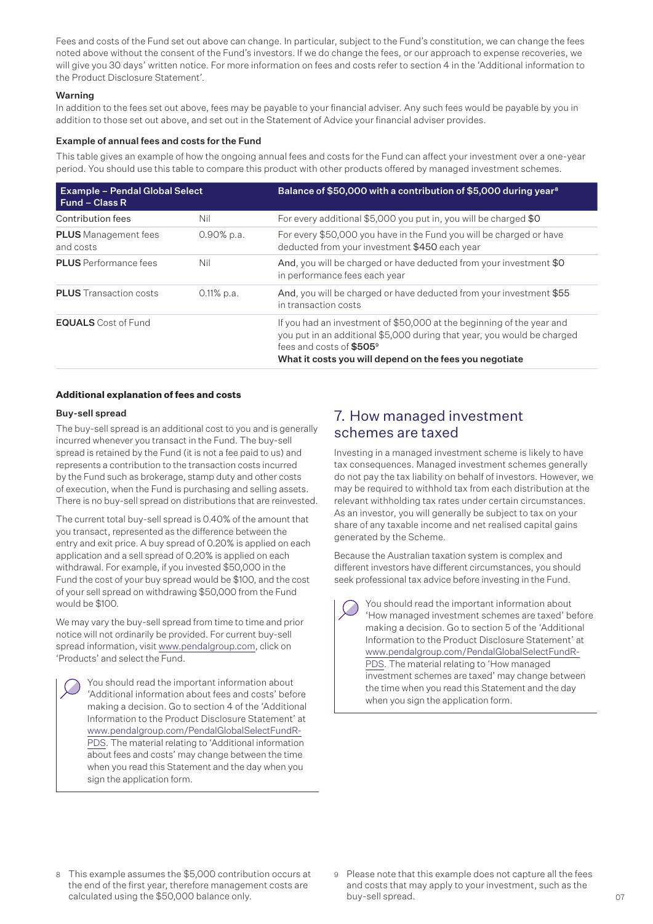Fees and costs of the Fund set out above can change. In particular, subject to the Fund's constitution, we can change the fees noted above without the consent of the Fund's investors. If we do change the fees, or our approach to expense recoveries, we will give you 30 days' written notice. For more information on fees and costs refer to section 4 in the 'Additional information to the Product Disclosure Statement'.

#### Warning

In addition to the fees set out above, fees may be payable to your financial adviser. Any such fees would be payable by you in addition to those set out above, and set out in the Statement of Advice your financial adviser provides.

#### Example of annual fees and costs for the Fund

This table gives an example of how the ongoing annual fees and costs for the Fund can affect your investment over a one-year period. You should use this table to compare this product with other products offered by managed investment schemes.

| <b>Example - Pendal Global Select</b><br>Fund – Class R |               | Balance of \$50,000 with a contribution of \$5,000 during year <sup>8</sup>                                                                                                                                                                         |  |
|---------------------------------------------------------|---------------|-----------------------------------------------------------------------------------------------------------------------------------------------------------------------------------------------------------------------------------------------------|--|
| Contribution fees                                       | Nil           | For every additional \$5,000 you put in, you will be charged \$0                                                                                                                                                                                    |  |
| <b>PLUS</b> Management fees<br>and costs                | $0.90\%$ p.a. | For every \$50,000 you have in the Fund you will be charged or have<br>deducted from your investment \$450 each year                                                                                                                                |  |
| <b>PLUS</b> Performance fees                            | Nil           | And, you will be charged or have deducted from your investment \$0<br>in performance fees each year                                                                                                                                                 |  |
| <b>PLUS</b> Transaction costs                           | $0.11\%$ p.a. | And, you will be charged or have deducted from your investment \$55<br>in transaction costs                                                                                                                                                         |  |
| <b>EQUALS</b> Cost of Fund                              |               | If you had an investment of \$50,000 at the beginning of the year and<br>you put in an additional \$5,000 during that year, you would be charged<br>fees and costs of \$505 <sup>9</sup><br>What it costs you will depend on the fees you negotiate |  |

#### **Additional explanation of fees and costs**

#### Buy-sell spread

The buy-sell spread is an additional cost to you and is generally incurred whenever you transact in the Fund. The buy-sell spread is retained by the Fund (it is not a fee paid to us) and represents a contribution to the transaction costs incurred by the Fund such as brokerage, stamp duty and other costs of execution, when the Fund is purchasing and selling assets. There is no buy-sell spread on distributions that are reinvested.

The current total buy-sell spread is 0.40% of the amount that you transact, represented as the difference between the entry and exit price. A buy spread of 0.20% is applied on each application and a sell spread of 0.20% is applied on each withdrawal. For example, if you invested \$50,000 in the Fund the cost of your buy spread would be \$100, and the cost of your sell spread on withdrawing \$50,000 from the Fund would be \$100.

We may vary the buy-sell spread from time to time and prior notice will not ordinarily be provided. For current buy-sell spread information, visit www.pendalgroup.com, click on 'Products' and select the Fund.

You should read the important information about 'Additional information about fees and costs' before making a decision. Go to section 4 of the 'Additional Information to the Product Disclosure Statement' at [www.pendalgroup.com/PendalGlobalSelectFundR-](www.pendalgroup.com/PendalGlobalSelectFundR-PDS)[PDS](www.pendalgroup.com/PendalGlobalSelectFundR-PDS). The material relating to 'Additional information about fees and costs' may change between the time when you read this Statement and the day when you sign the application form.

## 7. How managed investment schemes are taxed

Investing in a managed investment scheme is likely to have tax consequences. Managed investment schemes generally do not pay the tax liability on behalf of investors. However, we may be required to withhold tax from each distribution at the relevant withholding tax rates under certain circumstances. As an investor, you will generally be subject to tax on your share of any taxable income and net realised capital gains generated by the Scheme.

Because the Australian taxation system is complex and different investors have different circumstances, you should seek professional tax advice before investing in the Fund.

You should read the important information about 'How managed investment schemes are taxed' before making a decision. Go to section 5 of the 'Additional Information to the Product Disclosure Statement' at [www.pendalgroup.com/PendalGlobalSelectFundR-](www.pendalgroup.com/PendalGlobalSelectFundR-PDS)[PDS](www.pendalgroup.com/PendalGlobalSelectFundR-PDS). The material relating to 'How managed investment schemes are taxed' may change between the time when you read this Statement and the day when you sign the application form.

- 8 This example assumes the \$5,000 contribution occurs at the end of the first year, therefore management costs are calculated using the \$50,000 balance only.
- 9 Please note that this example does not capture all the fees and costs that may apply to your investment, such as the buy-sell spread.